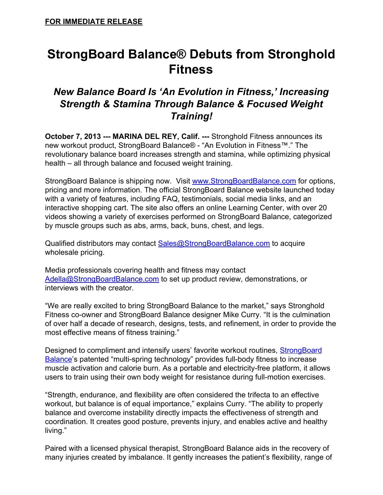# **StrongBoard Balance® Debuts from Stronghold Fitness**

## *New Balance Board Is 'An Evolution in Fitness, ' Increasing Strength & Stamina Through Balance & Focused Weight Training!*

**October 7, 2013 --- MARINA DEL REY, Calif. --- Stronghold Fitness announces its** new workout product, StrongBoard Balance® "An Evolution in Fitness™." The revolutionary balance board increases strength and stamina, while optimizing physical health – all through balance and focused weight training.

StrongBoard Balance is shipping now. Visit [www.StrongBoardBalance.com](http://www.google.com/url?q=http%3A%2F%2Fwww.strongboardbalance.com&sa=D&sntz=1&usg=AFQjCNG6UAJVuX2a1WFqkgI7hNtJp6tnPw) for options, pricing and more information. The official StrongBoard Balance website launched today with a variety of features, including FAQ, testimonials, social media links, and an interactive shopping cart. The site also offers an online Learning Center, with over 20 videos showing a variety of exercises performed on StrongBoard Balance, categorized by muscle groups such as abs, arms, back, buns, chest, and legs.

Qualified distributors may contact [Sales@StrongBoardBalance.com](mailto:Sales@StrongBoardBalance.com) to acquire wholesale pricing.

Media professionals covering health and fitness may contact [Adella@StrongBoardBalance.com](mailto:Adella@StrongBoardBalance.com) to set up product review, demonstrations, or interviews with the creator.

"We are really excited to bring StrongBoard Balance to the market," says Stronghold Fitness co-owner and StrongBoard Balance designer Mike Curry. "It is the culmination of over half a decade of research, designs, tests, and refinement, in order to provide the most effective means of fitness training."

Designed to compliment and intensify users' favorite workout routines, [StrongBoard](http://www.google.com/url?q=http%3A%2F%2Fwww.twitter.com%2FStrongBoard&sa=D&sntz=1&usg=AFQjCNHLQtb3h4UknzPpRtfRy7cBuumlVg) [Balance'](http://www.google.com/url?q=http%3A%2F%2Fwww.twitter.com%2FStrongBoard&sa=D&sntz=1&usg=AFQjCNHLQtb3h4UknzPpRtfRy7cBuumlVg)s patented "multi-spring technology" provides full-body fitness to increase muscle activation and calorie burn. As a portable and electricity-free platform, it allows users to train using their own body weight for resistance during full-motion exercises.

"Strength, endurance, and flexibility are often considered the trifecta to an effective workout, but balance is of equal importance," explains Curry. "The ability to properly balance and overcome instability directly impacts the effectiveness of strength and coordination. It creates good posture, prevents injury, and enables active and healthy living."

Paired with a licensed physical therapist, StrongBoard Balance aids in the recovery of many injuries created by imbalance. It gently increases the patient's flexibility, range of